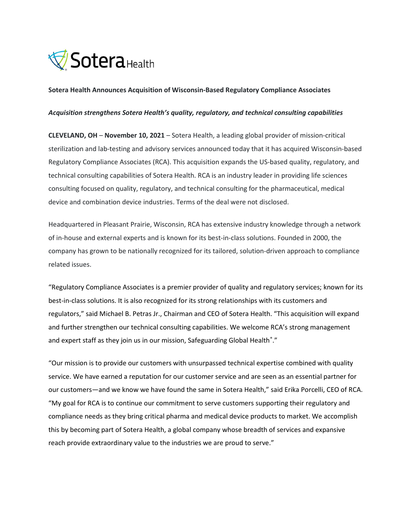

#### Sotera Health Announces Acquisition of Wisconsin-Based Regulatory Compliance Associates

#### Acquisition strengthens Sotera Health's quality, regulatory, and technical consulting capabilities

CLEVELAND, OH – November 10, 2021 – Sotera Health, a leading global provider of mission-critical sterilization and lab-testing and advisory services announced today that it has acquired Wisconsin-based Regulatory Compliance Associates (RCA). This acquisition expands the US-based quality, regulatory, and technical consulting capabilities of Sotera Health. RCA is an industry leader in providing life sciences consulting focused on quality, regulatory, and technical consulting for the pharmaceutical, medical device and combination device industries. Terms of the deal were not disclosed.

Headquartered in Pleasant Prairie, Wisconsin, RCA has extensive industry knowledge through a network of in-house and external experts and is known for its best-in-class solutions. Founded in 2000, the company has grown to be nationally recognized for its tailored, solution-driven approach to compliance related issues.

"Regulatory Compliance Associates is a premier provider of quality and regulatory services; known for its best-in-class solutions. It is also recognized for its strong relationships with its customers and regulators," said Michael B. Petras Jr., Chairman and CEO of Sotera Health. "This acquisition will expand and further strengthen our technical consulting capabilities. We welcome RCA's strong management and expert staff as they join us in our mission, Safeguarding Global Health<sup>®</sup>."

"Our mission is to provide our customers with unsurpassed technical expertise combined with quality service. We have earned a reputation for our customer service and are seen as an essential partner for our customers—and we know we have found the same in Sotera Health," said Erika Porcelli, CEO of RCA. "My goal for RCA is to continue our commitment to serve customers supporting their regulatory and compliance needs as they bring critical pharma and medical device products to market. We accomplish this by becoming part of Sotera Health, a global company whose breadth of services and expansive reach provide extraordinary value to the industries we are proud to serve."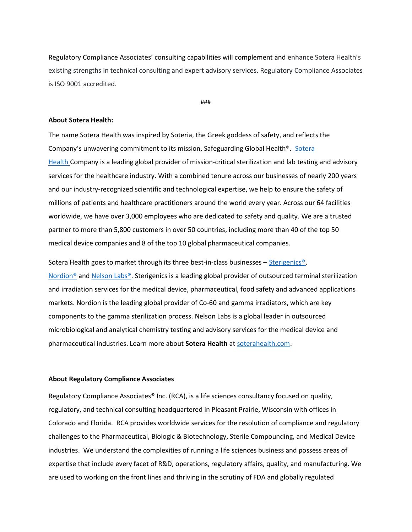Regulatory Compliance Associates' consulting capabilities will complement and enhance Sotera Health's existing strengths in technical consulting and expert advisory services. Regulatory Compliance Associates is ISO 9001 accredited.

###

#### About Sotera Health:

The name Sotera Health was inspired by Soteria, the Greek goddess of safety, and reflects the Company's unwavering commitment to its mission, Safeguarding Global Health®. Sotera Health Company is a leading global provider of mission-critical sterilization and lab testing and advisory services for the healthcare industry. With a combined tenure across our businesses of nearly 200 years and our industry-recognized scientific and technological expertise, we help to ensure the safety of millions of patients and healthcare practitioners around the world every year. Across our 64 facilities worldwide, we have over 3,000 employees who are dedicated to safety and quality. We are a trusted partner to more than 5,800 customers in over 50 countries, including more than 40 of the top 50 medical device companies and 8 of the top 10 global pharmaceutical companies.

Sotera Health goes to market through its three best-in-class businesses – Sterigenics®, Nordion® and Nelson Labs®. Sterigenics is a leading global provider of outsourced terminal sterilization and irradiation services for the medical device, pharmaceutical, food safety and advanced applications markets. Nordion is the leading global provider of Co-60 and gamma irradiators, which are key components to the gamma sterilization process. Nelson Labs is a global leader in outsourced microbiological and analytical chemistry testing and advisory services for the medical device and pharmaceutical industries. Learn more about Sotera Health at soterahealth.com.

### About Regulatory Compliance Associates

Regulatory Compliance Associates® Inc. (RCA), is a life sciences consultancy focused on quality, regulatory, and technical consulting headquartered in Pleasant Prairie, Wisconsin with offices in Colorado and Florida. RCA provides worldwide services for the resolution of compliance and regulatory challenges to the Pharmaceutical, Biologic & Biotechnology, Sterile Compounding, and Medical Device industries. We understand the complexities of running a life sciences business and possess areas of expertise that include every facet of R&D, operations, regulatory affairs, quality, and manufacturing. We are used to working on the front lines and thriving in the scrutiny of FDA and globally regulated